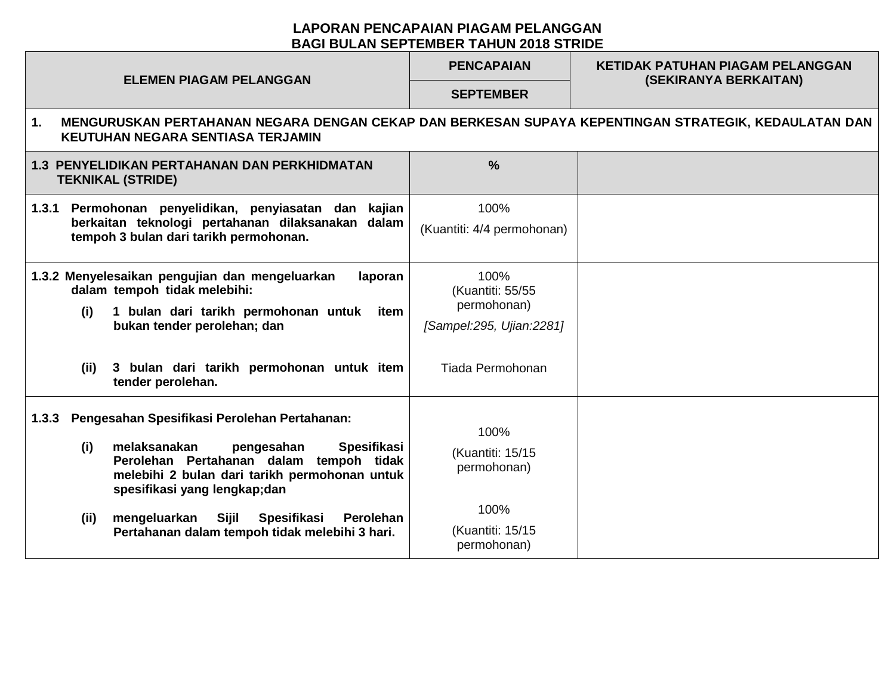## **LAPORAN PENCAPAIAN PIAGAM PELANGGAN BAGI BULAN SEPTEMBER TAHUN 2018 STRIDE**

| <b>ELEMEN PIAGAM PELANGGAN</b>                                                                                                                                                                                                                                                                             | <b>PENCAPAIAN</b>                                                                       | <b>KETIDAK PATUHAN PIAGAM PELANGGAN</b><br>(SEKIRANYA BERKAITAN) |  |  |  |  |
|------------------------------------------------------------------------------------------------------------------------------------------------------------------------------------------------------------------------------------------------------------------------------------------------------------|-----------------------------------------------------------------------------------------|------------------------------------------------------------------|--|--|--|--|
|                                                                                                                                                                                                                                                                                                            | <b>SEPTEMBER</b>                                                                        |                                                                  |  |  |  |  |
| MENGURUSKAN PERTAHANAN NEGARA DENGAN CEKAP DAN BERKESAN SUPAYA KEPENTINGAN STRATEGIK, KEDAULATAN DAN<br>$\mathbf{1}$ .<br><b>KEUTUHAN NEGARA SENTIASA TERJAMIN</b>                                                                                                                                         |                                                                                         |                                                                  |  |  |  |  |
| <b>1.3 PENYELIDIKAN PERTAHANAN DAN PERKHIDMATAN</b><br><b>TEKNIKAL (STRIDE)</b>                                                                                                                                                                                                                            | $\frac{0}{0}$                                                                           |                                                                  |  |  |  |  |
| Permohonan penyelidikan, penyiasatan dan kajian<br>1.3.1<br>berkaitan teknologi pertahanan dilaksanakan dalam<br>tempoh 3 bulan dari tarikh permohonan.                                                                                                                                                    | 100%<br>(Kuantiti: 4/4 permohonan)                                                      |                                                                  |  |  |  |  |
| 1.3.2 Menyelesaikan pengujian dan mengeluarkan<br>laporan<br>dalam tempoh tidak melebihi:<br>1 bulan dari tarikh permohonan untuk<br>(i)<br>item<br>bukan tender perolehan; dan<br>3 bulan dari tarikh permohonan untuk item<br>(ii)                                                                       | 100%<br>(Kuantiti: 55/55<br>permohonan)<br>[Sampel:295, Ujian:2281]<br>Tiada Permohonan |                                                                  |  |  |  |  |
| tender perolehan.                                                                                                                                                                                                                                                                                          |                                                                                         |                                                                  |  |  |  |  |
| Pengesahan Spesifikasi Perolehan Pertahanan:<br>1.3.3<br>melaksanakan<br><b>Spesifikasi</b><br>(i)<br>pengesahan<br>Perolehan Pertahanan dalam tempoh tidak<br>melebihi 2 bulan dari tarikh permohonan untuk<br>spesifikasi yang lengkap;dan<br>(iii)<br>mengeluarkan<br>Sijil<br>Spesifikasi<br>Perolehan | 100%<br>(Kuantiti: 15/15<br>permohonan)<br>100%                                         |                                                                  |  |  |  |  |
| Pertahanan dalam tempoh tidak melebihi 3 hari.                                                                                                                                                                                                                                                             | (Kuantiti: 15/15<br>permohonan)                                                         |                                                                  |  |  |  |  |